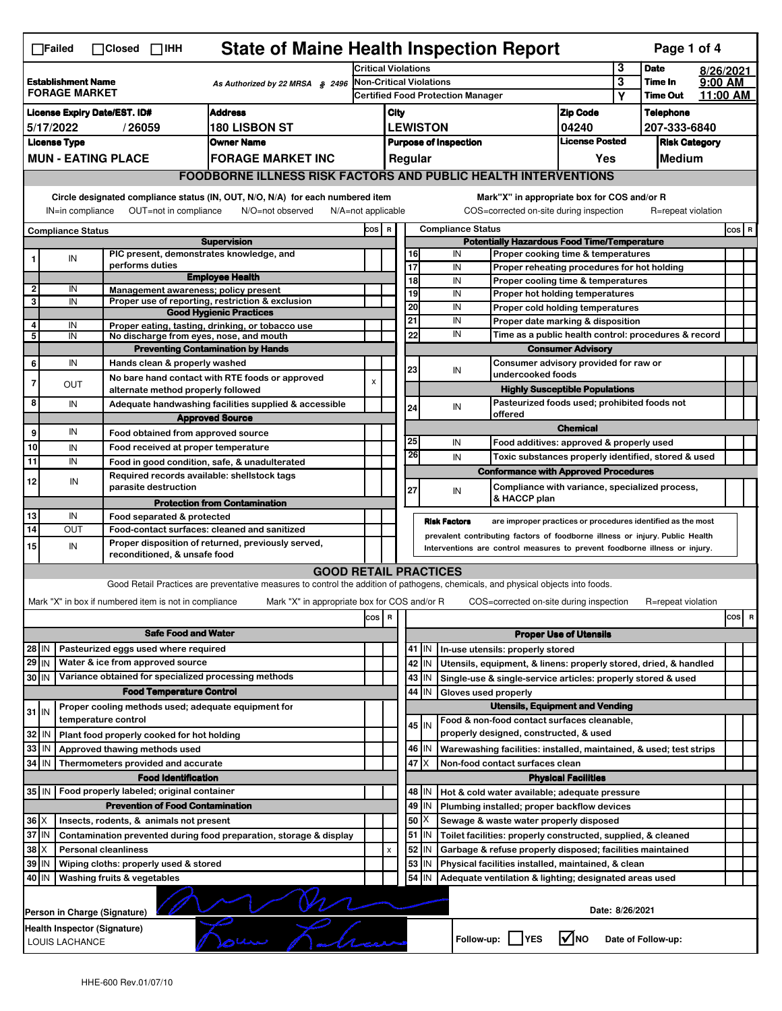|                                                                                                              | <b>State of Maine Health Inspection Report</b><br>Page 1 of 4<br>$\Box$ Failed<br>$\Box$ Closed $\Box$ IHH                                                                                                             |                                              |                                                       |                                                                                                                                   |                                                                                         |                                                                            |                                                                                     |                                                                                                       |                                                                       |                                                                   |                                                                     |                            |                                  |                    |           |                                |
|--------------------------------------------------------------------------------------------------------------|------------------------------------------------------------------------------------------------------------------------------------------------------------------------------------------------------------------------|----------------------------------------------|-------------------------------------------------------|-----------------------------------------------------------------------------------------------------------------------------------|-----------------------------------------------------------------------------------------|----------------------------------------------------------------------------|-------------------------------------------------------------------------------------|-------------------------------------------------------------------------------------------------------|-----------------------------------------------------------------------|-------------------------------------------------------------------|---------------------------------------------------------------------|----------------------------|----------------------------------|--------------------|-----------|--------------------------------|
|                                                                                                              |                                                                                                                                                                                                                        |                                              |                                                       |                                                                                                                                   |                                                                                         | <b>Critical Violations</b>                                                 |                                                                                     |                                                                                                       |                                                                       |                                                                   |                                                                     | 3                          | <b>Date</b>                      |                    | 8/26/2021 |                                |
| <b>Establishment Name</b><br>As Authorized by 22 MRSA § 2496<br><b>FORAGE MARKET</b>                         |                                                                                                                                                                                                                        |                                              |                                                       |                                                                                                                                   |                                                                                         | <b>Non-Critical Violations</b><br><b>Certified Food Protection Manager</b> |                                                                                     |                                                                                                       |                                                                       |                                                                   |                                                                     | 3<br>Υ                     | Time In<br><b>Time Out</b>       | 9:00 AM            | 11:00 AM  |                                |
| <b>Address</b><br>License Expiry Date/EST. ID#                                                               |                                                                                                                                                                                                                        |                                              |                                                       |                                                                                                                                   |                                                                                         |                                                                            |                                                                                     |                                                                                                       |                                                                       |                                                                   |                                                                     |                            |                                  |                    |           |                                |
| 5/17/2022<br>/26059<br><b>180 LISBON ST</b>                                                                  |                                                                                                                                                                                                                        |                                              |                                                       |                                                                                                                                   |                                                                                         | <b>Zip Code</b><br>City<br><b>LEWISTON</b>                                 |                                                                                     |                                                                                                       |                                                                       |                                                                   | 04240                                                               |                            | <b>Telephone</b><br>207-333-6840 |                    |           |                                |
| <b>License Type</b><br><b>Owner Name</b>                                                                     |                                                                                                                                                                                                                        |                                              |                                                       |                                                                                                                                   |                                                                                         | <b>License Posted</b><br><b>Purpose of Inspection</b>                      |                                                                                     |                                                                                                       |                                                                       |                                                                   | <b>Risk Category</b>                                                |                            |                                  |                    |           |                                |
| <b>MUN - EATING PLACE</b><br><b>FORAGE MARKET INC</b>                                                        |                                                                                                                                                                                                                        |                                              |                                                       |                                                                                                                                   |                                                                                         | Regular<br>Yes                                                             |                                                                                     |                                                                                                       |                                                                       |                                                                   |                                                                     | <b>Medium</b>              |                                  |                    |           |                                |
| <b>FOODBORNE ILLNESS RISK FACTORS AND PUBLIC HEALTH INTERVENTIONS</b>                                        |                                                                                                                                                                                                                        |                                              |                                                       |                                                                                                                                   |                                                                                         |                                                                            |                                                                                     |                                                                                                       |                                                                       |                                                                   |                                                                     |                            |                                  |                    |           |                                |
| Circle designated compliance status (IN, OUT, N/O, N/A) for each numbered item                               |                                                                                                                                                                                                                        |                                              |                                                       |                                                                                                                                   |                                                                                         |                                                                            |                                                                                     |                                                                                                       |                                                                       |                                                                   | Mark"X" in appropriate box for COS and/or R                         |                            |                                  |                    |           |                                |
| OUT=not in compliance<br>IN=in compliance<br>N/O=not observed                                                |                                                                                                                                                                                                                        |                                              |                                                       |                                                                                                                                   |                                                                                         |                                                                            | COS=corrected on-site during inspection<br>R=repeat violation<br>N/A=not applicable |                                                                                                       |                                                                       |                                                                   |                                                                     |                            |                                  |                    |           |                                |
| <b>Compliance Status</b><br><b>Supervision</b>                                                               |                                                                                                                                                                                                                        |                                              |                                                       |                                                                                                                                   | <b>Compliance Status</b><br>COS R<br><b>Potentially Hazardous Food Time/Temperature</b> |                                                                            |                                                                                     |                                                                                                       |                                                                       |                                                                   |                                                                     |                            | COS R                            |                    |           |                                |
|                                                                                                              | IN                                                                                                                                                                                                                     |                                              |                                                       | PIC present, demonstrates knowledge, and                                                                                          |                                                                                         |                                                                            |                                                                                     | 16                                                                                                    |                                                                       | IN                                                                | Proper cooking time & temperatures                                  |                            |                                  |                    |           |                                |
|                                                                                                              |                                                                                                                                                                                                                        |                                              | performs duties                                       | <b>Employee Health</b>                                                                                                            |                                                                                         |                                                                            |                                                                                     | 17<br>IN<br>Proper reheating procedures for hot holding<br>18<br>Proper cooling time & temperatures   |                                                                       |                                                                   |                                                                     |                            |                                  |                    |           |                                |
| 2                                                                                                            | IN                                                                                                                                                                                                                     |                                              |                                                       | Management awareness; policy present                                                                                              |                                                                                         |                                                                            |                                                                                     | $\overline{19}$                                                                                       |                                                                       | IN<br>IN                                                          |                                                                     |                            |                                  |                    |           |                                |
| 3                                                                                                            | IN                                                                                                                                                                                                                     |                                              |                                                       | Proper use of reporting, restriction & exclusion                                                                                  |                                                                                         |                                                                            |                                                                                     | 20                                                                                                    |                                                                       | IN                                                                | Proper hot holding temperatures<br>Proper cold holding temperatures |                            |                                  |                    |           |                                |
| 4                                                                                                            | IN                                                                                                                                                                                                                     |                                              |                                                       | <b>Good Hygienic Practices</b><br>Proper eating, tasting, drinking, or tobacco use                                                |                                                                                         |                                                                            |                                                                                     | 21                                                                                                    |                                                                       | IN                                                                | Proper date marking & disposition                                   |                            |                                  |                    |           |                                |
| 5                                                                                                            | IN                                                                                                                                                                                                                     |                                              |                                                       | No discharge from eyes, nose, and mouth                                                                                           |                                                                                         |                                                                            |                                                                                     | 22                                                                                                    |                                                                       | IN<br>Time as a public health control: procedures & record        |                                                                     |                            |                                  |                    |           |                                |
|                                                                                                              |                                                                                                                                                                                                                        |                                              |                                                       | <b>Preventing Contamination by Hands</b>                                                                                          |                                                                                         |                                                                            |                                                                                     |                                                                                                       |                                                                       |                                                                   | <b>Consumer Advisory</b>                                            |                            |                                  |                    |           |                                |
| 6                                                                                                            | IN                                                                                                                                                                                                                     |                                              | Hands clean & properly washed                         |                                                                                                                                   |                                                                                         |                                                                            |                                                                                     | 23                                                                                                    |                                                                       | IN                                                                | Consumer advisory provided for raw or<br>undercooked foods          |                            |                                  |                    |           |                                |
| 7                                                                                                            | OUT                                                                                                                                                                                                                    |                                              |                                                       | No bare hand contact with RTE foods or approved<br>alternate method properly followed                                             |                                                                                         | $\pmb{\times}$                                                             |                                                                                     |                                                                                                       |                                                                       |                                                                   | <b>Highly Susceptible Populations</b>                               |                            |                                  |                    |           |                                |
| 8                                                                                                            | IN                                                                                                                                                                                                                     |                                              |                                                       | Adequate handwashing facilities supplied & accessible                                                                             |                                                                                         |                                                                            |                                                                                     |                                                                                                       |                                                                       | Pasteurized foods used; prohibited foods not<br>IN                |                                                                     |                            |                                  |                    |           |                                |
|                                                                                                              |                                                                                                                                                                                                                        |                                              |                                                       | <b>Approved Source</b>                                                                                                            |                                                                                         |                                                                            |                                                                                     | 24                                                                                                    |                                                                       |                                                                   | offered                                                             |                            |                                  |                    |           |                                |
| 9                                                                                                            | IN                                                                                                                                                                                                                     |                                              |                                                       | Food obtained from approved source                                                                                                |                                                                                         |                                                                            |                                                                                     |                                                                                                       |                                                                       |                                                                   |                                                                     | <b>Chemical</b>            |                                  |                    |           |                                |
| 10                                                                                                           | IN                                                                                                                                                                                                                     |                                              |                                                       | Food received at proper temperature                                                                                               |                                                                                         |                                                                            |                                                                                     | 25<br>26                                                                                              |                                                                       | IN                                                                | Food additives: approved & properly used                            |                            |                                  |                    |           |                                |
| 11                                                                                                           | IN                                                                                                                                                                                                                     |                                              |                                                       | Food in good condition, safe, & unadulterated                                                                                     |                                                                                         |                                                                            |                                                                                     |                                                                                                       |                                                                       | IN                                                                | Toxic substances properly identified, stored & used                 |                            |                                  |                    |           |                                |
| 12                                                                                                           | IN                                                                                                                                                                                                                     |                                              |                                                       | Required records available: shellstock tags                                                                                       |                                                                                         |                                                                            |                                                                                     |                                                                                                       |                                                                       |                                                                   | <b>Conformance with Approved Procedures</b>                         |                            |                                  |                    |           |                                |
|                                                                                                              |                                                                                                                                                                                                                        |                                              | parasite destruction                                  |                                                                                                                                   |                                                                                         |                                                                            |                                                                                     | 27                                                                                                    |                                                                       | IN                                                                | Compliance with variance, specialized process,<br>& HACCP plan      |                            |                                  |                    |           |                                |
| 13                                                                                                           | IN                                                                                                                                                                                                                     |                                              | Food separated & protected                            | <b>Protection from Contamination</b>                                                                                              |                                                                                         |                                                                            |                                                                                     |                                                                                                       |                                                                       |                                                                   |                                                                     |                            |                                  |                    |           |                                |
| 14                                                                                                           | OUT                                                                                                                                                                                                                    | Food-contact surfaces: cleaned and sanitized |                                                       |                                                                                                                                   |                                                                                         |                                                                            |                                                                                     |                                                                                                       |                                                                       | <b>Risk Factors</b>                                               | are improper practices or procedures identified as the most         |                            |                                  |                    |           |                                |
| 15                                                                                                           | prevalent contributing factors of foodborne illness or injury. Public Health<br>Proper disposition of returned, previously served,<br>IN<br>Interventions are control measures to prevent foodborne illness or injury. |                                              |                                                       |                                                                                                                                   |                                                                                         |                                                                            |                                                                                     |                                                                                                       |                                                                       |                                                                   |                                                                     |                            |                                  |                    |           |                                |
|                                                                                                              |                                                                                                                                                                                                                        |                                              | reconditioned, & unsafe food                          |                                                                                                                                   |                                                                                         |                                                                            |                                                                                     |                                                                                                       |                                                                       |                                                                   |                                                                     |                            |                                  |                    |           |                                |
|                                                                                                              |                                                                                                                                                                                                                        |                                              |                                                       | Good Retail Practices are preventative measures to control the addition of pathogens, chemicals, and physical objects into foods. | <b>GOOD RETAIL PRACTICES</b>                                                            |                                                                            |                                                                                     |                                                                                                       |                                                                       |                                                                   |                                                                     |                            |                                  |                    |           |                                |
|                                                                                                              |                                                                                                                                                                                                                        |                                              | Mark "X" in box if numbered item is not in compliance |                                                                                                                                   | Mark "X" in appropriate box for COS and/or R                                            |                                                                            |                                                                                     |                                                                                                       |                                                                       |                                                                   | COS=corrected on-site during inspection                             |                            |                                  | R=repeat violation |           |                                |
|                                                                                                              |                                                                                                                                                                                                                        |                                              |                                                       |                                                                                                                                   |                                                                                         | cos R                                                                      |                                                                                     |                                                                                                       |                                                                       |                                                                   |                                                                     |                            |                                  |                    |           | cos<br>$\overline{\mathbf{R}}$ |
|                                                                                                              |                                                                                                                                                                                                                        |                                              | <b>Safe Food and Water</b>                            |                                                                                                                                   |                                                                                         |                                                                            |                                                                                     |                                                                                                       |                                                                       |                                                                   |                                                                     |                            |                                  |                    |           |                                |
| 28 IN                                                                                                        |                                                                                                                                                                                                                        |                                              | Pasteurized eggs used where required                  |                                                                                                                                   |                                                                                         |                                                                            |                                                                                     |                                                                                                       | 41 J IN                                                               | <b>Proper Use of Utensils</b><br>In-use utensils: properly stored |                                                                     |                            |                                  |                    |           |                                |
| 29 IN                                                                                                        |                                                                                                                                                                                                                        |                                              | Water & ice from approved source                      |                                                                                                                                   |                                                                                         |                                                                            |                                                                                     |                                                                                                       | 42 IN                                                                 |                                                                   | Utensils, equipment, & linens: properly stored, dried, & handled    |                            |                                  |                    |           |                                |
| 30 IN                                                                                                        |                                                                                                                                                                                                                        |                                              |                                                       | Variance obtained for specialized processing methods                                                                              |                                                                                         |                                                                            |                                                                                     |                                                                                                       | 43 IN                                                                 |                                                                   | Single-use & single-service articles: properly stored & used        |                            |                                  |                    |           |                                |
| <b>Food Temperature Control</b>                                                                              |                                                                                                                                                                                                                        |                                              |                                                       |                                                                                                                                   |                                                                                         |                                                                            | 44                                                                                  | IN                                                                                                    | Gloves used properly                                                  |                                                                   |                                                                     |                            |                                  |                    |           |                                |
| $31$ M                                                                                                       |                                                                                                                                                                                                                        |                                              |                                                       | Proper cooling methods used; adequate equipment for                                                                               |                                                                                         |                                                                            | <b>Utensils, Equipment and Vending</b>                                              |                                                                                                       |                                                                       |                                                                   |                                                                     |                            |                                  |                    |           |                                |
|                                                                                                              |                                                                                                                                                                                                                        | temperature control                          |                                                       |                                                                                                                                   |                                                                                         |                                                                            |                                                                                     |                                                                                                       | 45 IN                                                                 |                                                                   | Food & non-food contact surfaces cleanable,                         |                            |                                  |                    |           |                                |
| 32                                                                                                           | IN                                                                                                                                                                                                                     |                                              | Plant food properly cooked for hot holding            |                                                                                                                                   |                                                                                         |                                                                            |                                                                                     |                                                                                                       |                                                                       |                                                                   | properly designed, constructed, & used                              |                            |                                  |                    |           |                                |
| 33<br>IN<br>Approved thawing methods used<br>34 IN<br>Thermometers provided and accurate                     |                                                                                                                                                                                                                        |                                              |                                                       |                                                                                                                                   |                                                                                         |                                                                            | 46 IN<br>47 I X                                                                     | Warewashing facilities: installed, maintained, & used; test strips<br>Non-food contact surfaces clean |                                                                       |                                                                   |                                                                     |                            |                                  |                    |           |                                |
|                                                                                                              |                                                                                                                                                                                                                        |                                              |                                                       |                                                                                                                                   |                                                                                         |                                                                            |                                                                                     |                                                                                                       |                                                                       |                                                                   |                                                                     | <b>Physical Facilities</b> |                                  |                    |           |                                |
| <b>Food Identification</b><br>Food properly labeled; original container<br>35   IN                           |                                                                                                                                                                                                                        |                                              |                                                       |                                                                                                                                   |                                                                                         |                                                                            |                                                                                     | 48   IN                                                                                               |                                                                       | Hot & cold water available; adequate pressure                     |                                                                     |                            |                                  |                    |           |                                |
| <b>Prevention of Food Contamination</b>                                                                      |                                                                                                                                                                                                                        |                                              |                                                       |                                                                                                                                   |                                                                                         | 49                                                                         | IN                                                                                  |                                                                                                       | Plumbing installed; proper backflow devices                           |                                                                   |                                                                     |                            |                                  |                    |           |                                |
| $36 \times$<br>Insects, rodents, & animals not present                                                       |                                                                                                                                                                                                                        |                                              |                                                       |                                                                                                                                   |                                                                                         | 50                                                                         | ΙX                                                                                  |                                                                                                       | Sewage & waste water properly disposed                                |                                                                   |                                                                     |                            |                                  |                    |           |                                |
| 37 IN                                                                                                        |                                                                                                                                                                                                                        |                                              |                                                       | Contamination prevented during food preparation, storage & display                                                                |                                                                                         |                                                                            |                                                                                     |                                                                                                       | $51$ $\vert$ IN                                                       |                                                                   | Toilet facilities: properly constructed, supplied, & cleaned        |                            |                                  |                    |           |                                |
| 38                                                                                                           |                                                                                                                                                                                                                        | <b>Personal cleanliness</b>                  |                                                       |                                                                                                                                   |                                                                                         |                                                                            | x                                                                                   |                                                                                                       | 52<br>IN<br>Garbage & refuse properly disposed; facilities maintained |                                                                   |                                                                     |                            |                                  |                    |           |                                |
| 39 IN<br>Wiping cloths: properly used & stored                                                               |                                                                                                                                                                                                                        |                                              |                                                       |                                                                                                                                   |                                                                                         | 53                                                                         | IN                                                                                  | Physical facilities installed, maintained, & clean                                                    |                                                                       |                                                                   |                                                                     |                            |                                  |                    |           |                                |
|                                                                                                              | 40 IN<br>Washing fruits & vegetables<br>54<br>Adequate ventilation & lighting; designated areas used<br>IN                                                                                                             |                                              |                                                       |                                                                                                                                   |                                                                                         |                                                                            |                                                                                     |                                                                                                       |                                                                       |                                                                   |                                                                     |                            |                                  |                    |           |                                |
|                                                                                                              | Date: 8/26/2021<br>Person in Charge (Signature)                                                                                                                                                                        |                                              |                                                       |                                                                                                                                   |                                                                                         |                                                                            |                                                                                     |                                                                                                       |                                                                       |                                                                   |                                                                     |                            |                                  |                    |           |                                |
| Health Inspector (Signature)<br>Follow-up:  <br>l✔lno<br>Date of Follow-up:<br><b>IYES</b><br>LOUIS LACHANCE |                                                                                                                                                                                                                        |                                              |                                                       |                                                                                                                                   |                                                                                         |                                                                            |                                                                                     |                                                                                                       |                                                                       |                                                                   |                                                                     |                            |                                  |                    |           |                                |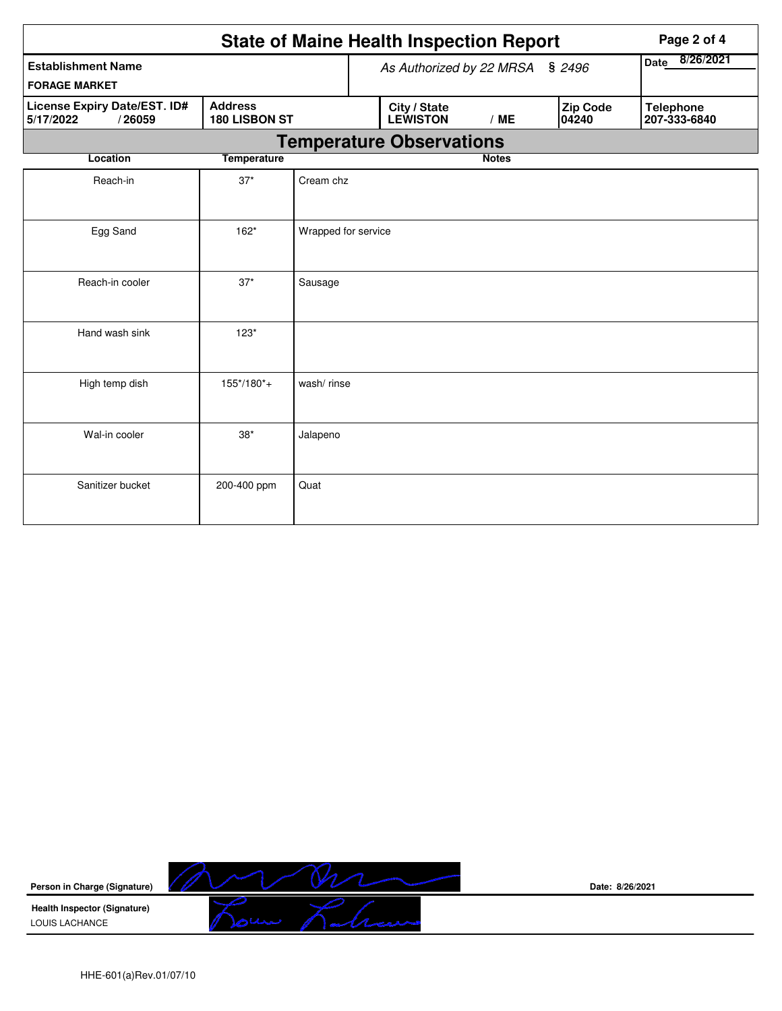| <b>State of Maine Health Inspection Report</b>                                         |                    |                                 |  |                                 |              |  |                          | Page 2 of 4                      |
|----------------------------------------------------------------------------------------|--------------------|---------------------------------|--|---------------------------------|--------------|--|--------------------------|----------------------------------|
| <b>Establishment Name</b><br><b>FORAGE MARKET</b>                                      |                    | As Authorized by 22 MRSA § 2496 |  |                                 |              |  | Date 8/26/2021           |                                  |
| License Expiry Date/EST. ID#<br><b>Address</b><br>180 LISBON ST<br>5/17/2022<br>/26059 |                    |                                 |  | City / State<br><b>LEWISTON</b> | /ME          |  | <b>Zip Code</b><br>04240 | <b>Telephone</b><br>207-333-6840 |
|                                                                                        |                    |                                 |  | <b>Temperature Observations</b> |              |  |                          |                                  |
| <b>Location</b>                                                                        | <b>Temperature</b> |                                 |  |                                 | <b>Notes</b> |  |                          |                                  |
| Reach-in                                                                               | $37*$              | Cream chz                       |  |                                 |              |  |                          |                                  |
| Egg Sand                                                                               | $162*$             | Wrapped for service             |  |                                 |              |  |                          |                                  |
| Reach-in cooler                                                                        | $37*$              | Sausage                         |  |                                 |              |  |                          |                                  |
| Hand wash sink                                                                         | $123*$             |                                 |  |                                 |              |  |                          |                                  |
| High temp dish                                                                         | $155*/180*$        | wash/rinse                      |  |                                 |              |  |                          |                                  |
| Wal-in cooler                                                                          | $38*$              | Jalapeno                        |  |                                 |              |  |                          |                                  |
| Sanitizer bucket                                                                       | 200-400 ppm        | Quat                            |  |                                 |              |  |                          |                                  |



**Date: 8/26/2021**

HHE-601(a)Rev.01/07/10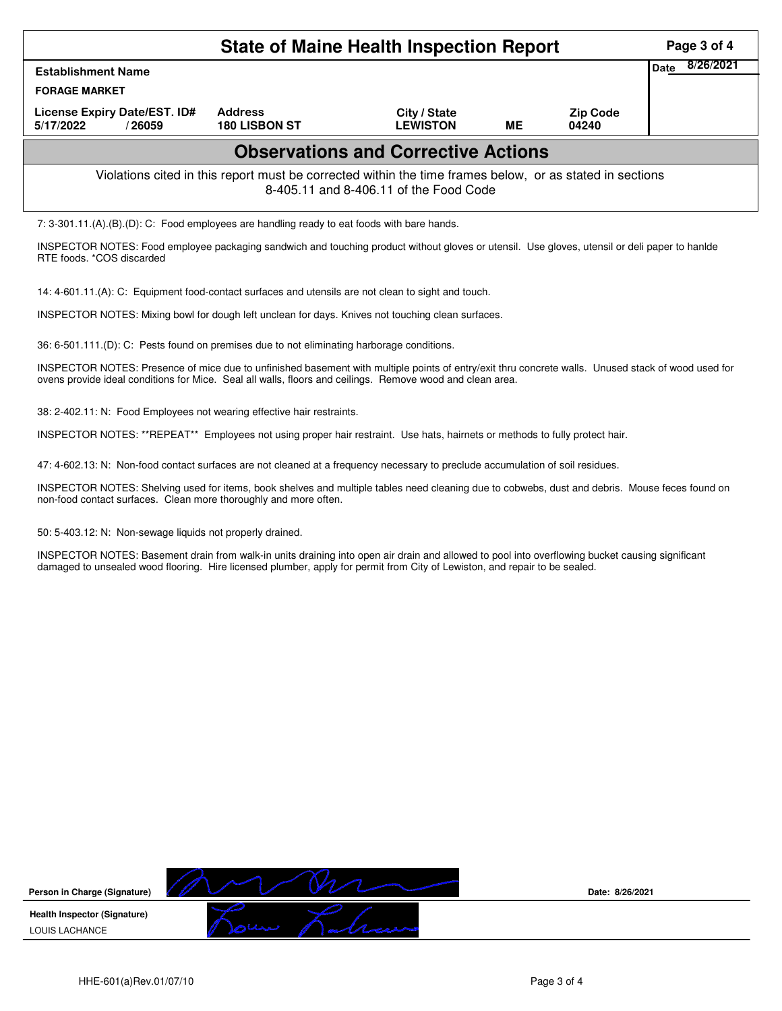|                                                                                                                                                    | Page 3 of 4                                                                                                                                   |                                 |    |                          |                   |  |  |  |  |
|----------------------------------------------------------------------------------------------------------------------------------------------------|-----------------------------------------------------------------------------------------------------------------------------------------------|---------------------------------|----|--------------------------|-------------------|--|--|--|--|
| <b>Establishment Name</b>                                                                                                                          |                                                                                                                                               |                                 |    |                          | 8/26/2021<br>Date |  |  |  |  |
| <b>FORAGE MARKET</b>                                                                                                                               |                                                                                                                                               |                                 |    |                          |                   |  |  |  |  |
| License Expiry Date/EST. ID#<br>5/17/2022<br>/ 26059                                                                                               | <b>Address</b><br><b>180 LISBON ST</b>                                                                                                        | City / State<br><b>LEWISTON</b> | ME | <b>Zip Code</b><br>04240 |                   |  |  |  |  |
| <b>Observations and Corrective Actions</b>                                                                                                         |                                                                                                                                               |                                 |    |                          |                   |  |  |  |  |
| Violations cited in this report must be corrected within the time frames below, or as stated in sections<br>8-405.11 and 8-406.11 of the Food Code |                                                                                                                                               |                                 |    |                          |                   |  |  |  |  |
| 7: 3-301.11.(A).(B).(D): C: Food employees are handling ready to eat foods with bare hands.                                                        |                                                                                                                                               |                                 |    |                          |                   |  |  |  |  |
|                                                                                                                                                    | INSPECTOR NOTES: Food employee packaging sandwich and touching product without gloves or utensil. Use gloves, utensil or deli paper to hanlde |                                 |    |                          |                   |  |  |  |  |

RTE foods. \*COS discarded

14: 4-601.11.(A): C: Equipment food-contact surfaces and utensils are not clean to sight and touch.

INSPECTOR NOTES: Mixing bowl for dough left unclean for days. Knives not touching clean surfaces.

36: 6-501.111.(D): C: Pests found on premises due to not eliminating harborage conditions.

INSPECTOR NOTES: Presence of mice due to unfinished basement with multiple points of entry/exit thru concrete walls. Unused stack of wood used for ovens provide ideal conditions for Mice. Seal all walls, floors and ceilings. Remove wood and clean area.

38: 2-402.11: N: Food Employees not wearing effective hair restraints.

INSPECTOR NOTES: \*\*REPEAT\*\* Employees not using proper hair restraint. Use hats, hairnets or methods to fully protect hair.

47: 4-602.13: N: Non-food contact surfaces are not cleaned at a frequency necessary to preclude accumulation of soil residues.

INSPECTOR NOTES: Shelving used for items, book shelves and multiple tables need cleaning due to cobwebs, dust and debris. Mouse feces found on non-food contact surfaces. Clean more thoroughly and more often.

50: 5-403.12: N: Non-sewage liquids not properly drained.

INSPECTOR NOTES: Basement drain from walk-in units draining into open air drain and allowed to pool into overflowing bucket causing significant damaged to unsealed wood flooring. Hire licensed plumber, apply for permit from City of Lewiston, and repair to be sealed.